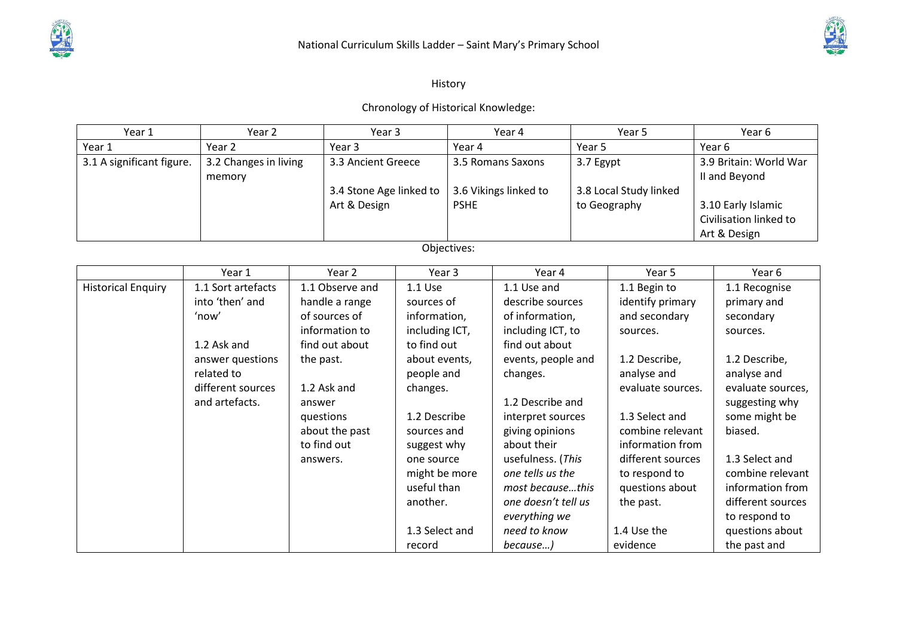

## History

## Chronology of Historical Knowledge:

| Year 1                                                       | Year 2                                                                                                                                 |                                               | Year 3                                                                                                                                              |                                                                                                                                                                                                               |                                                           | Year 4                                                                                                                                                                                                                                                              |                                                     | Year 5                                                                                                                                                                                                                                |  | Year <sub>6</sub>                                                                                                                                                                                                  |
|--------------------------------------------------------------|----------------------------------------------------------------------------------------------------------------------------------------|-----------------------------------------------|-----------------------------------------------------------------------------------------------------------------------------------------------------|---------------------------------------------------------------------------------------------------------------------------------------------------------------------------------------------------------------|-----------------------------------------------------------|---------------------------------------------------------------------------------------------------------------------------------------------------------------------------------------------------------------------------------------------------------------------|-----------------------------------------------------|---------------------------------------------------------------------------------------------------------------------------------------------------------------------------------------------------------------------------------------|--|--------------------------------------------------------------------------------------------------------------------------------------------------------------------------------------------------------------------|
| Year 1                                                       | Year 2                                                                                                                                 |                                               | Year 3                                                                                                                                              |                                                                                                                                                                                                               | Year 4                                                    |                                                                                                                                                                                                                                                                     | Year 5                                              | Year 6                                                                                                                                                                                                                                |  |                                                                                                                                                                                                                    |
| 3.1 A significant figure.<br>3.2 Changes in living<br>memory |                                                                                                                                        | 3.3 Ancient Greece<br>3.4 Stone Age linked to |                                                                                                                                                     |                                                                                                                                                                                                               | 3.5 Romans Saxons<br>3.6 Vikings linked to<br><b>PSHE</b> |                                                                                                                                                                                                                                                                     | 3.7 Egypt<br>3.8 Local Study linked<br>to Geography |                                                                                                                                                                                                                                       |  | 3.9 Britain: World War<br>II and Beyond                                                                                                                                                                            |
|                                                              |                                                                                                                                        |                                               | Art & Design                                                                                                                                        |                                                                                                                                                                                                               |                                                           |                                                                                                                                                                                                                                                                     |                                                     |                                                                                                                                                                                                                                       |  | 3.10 Early Islamic<br>Civilisation linked to<br>Art & Design                                                                                                                                                       |
|                                                              |                                                                                                                                        |                                               |                                                                                                                                                     |                                                                                                                                                                                                               | Objectives:                                               |                                                                                                                                                                                                                                                                     |                                                     |                                                                                                                                                                                                                                       |  |                                                                                                                                                                                                                    |
|                                                              | Year 1                                                                                                                                 |                                               | Year 2                                                                                                                                              | Year 3                                                                                                                                                                                                        |                                                           | Year 4                                                                                                                                                                                                                                                              |                                                     | Year 5                                                                                                                                                                                                                                |  | Year 6                                                                                                                                                                                                             |
| <b>Historical Enquiry</b>                                    | 1.1 Sort artefacts<br>into 'then' and<br>'now'<br>1.2 Ask and<br>answer questions<br>related to<br>different sources<br>and artefacts. | the past.<br>answer<br>answers.               | 1.1 Observe and<br>handle a range<br>of sources of<br>information to<br>find out about<br>1.2 Ask and<br>questions<br>about the past<br>to find out | 1.1 Use<br>sources of<br>information,<br>including ICT,<br>to find out<br>about events,<br>people and<br>changes.<br>1.2 Describe<br>sources and<br>suggest why<br>one source<br>might be more<br>useful than |                                                           | 1.1 Use and<br>describe sources<br>of information,<br>including ICT, to<br>find out about<br>events, people and<br>changes.<br>1.2 Describe and<br>interpret sources<br>giving opinions<br>about their<br>usefulness. (This<br>one tells us the<br>most becausethis |                                                     | 1.1 Begin to<br>identify primary<br>and secondary<br>sources.<br>1.2 Describe,<br>analyse and<br>evaluate sources.<br>1.3 Select and<br>combine relevant<br>information from<br>different sources<br>to respond to<br>questions about |  | 1.1 Recognise<br>primary and<br>secondary<br>sources.<br>1.2 Describe,<br>analyse and<br>evaluate sources,<br>suggesting why<br>some might be<br>biased.<br>1.3 Select and<br>combine relevant<br>information from |
|                                                              |                                                                                                                                        |                                               |                                                                                                                                                     | another.<br>1.3 Select and<br>record                                                                                                                                                                          |                                                           | one doesn't tell us<br>everything we<br>need to know<br>because)                                                                                                                                                                                                    |                                                     | the past.<br>1.4 Use the<br>evidence                                                                                                                                                                                                  |  | different sources<br>to respond to<br>questions about<br>the past and                                                                                                                                              |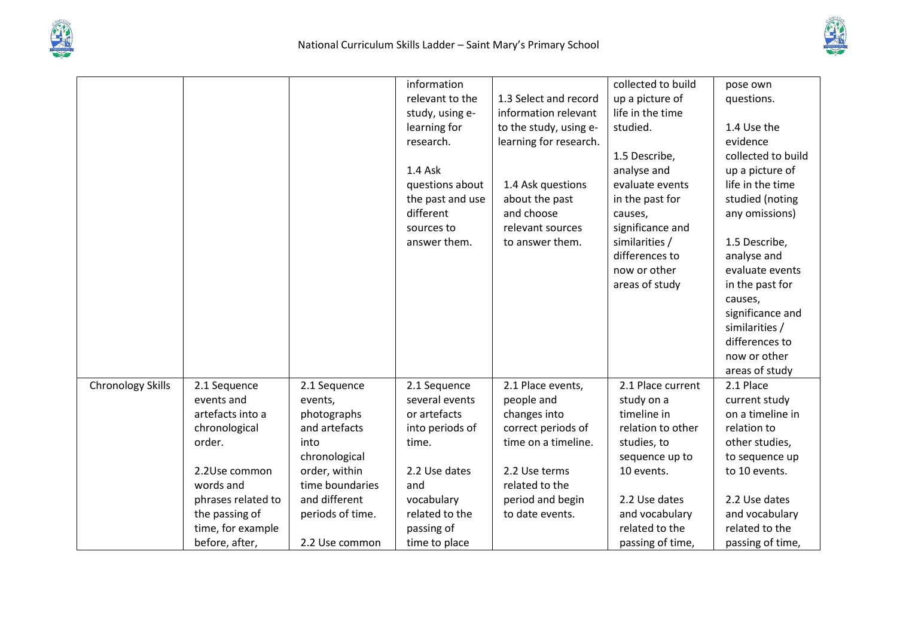



|                   |                    |                  | information      |                        | collected to build | pose own           |
|-------------------|--------------------|------------------|------------------|------------------------|--------------------|--------------------|
|                   |                    |                  | relevant to the  | 1.3 Select and record  | up a picture of    | questions.         |
|                   |                    |                  | study, using e-  | information relevant   | life in the time   |                    |
|                   |                    |                  | learning for     | to the study, using e- | studied.           | 1.4 Use the        |
|                   |                    |                  | research.        | learning for research. |                    | evidence           |
|                   |                    |                  |                  |                        | 1.5 Describe,      | collected to build |
|                   |                    |                  | 1.4 Ask          |                        | analyse and        | up a picture of    |
|                   |                    |                  | questions about  | 1.4 Ask questions      | evaluate events    | life in the time   |
|                   |                    |                  | the past and use | about the past         | in the past for    | studied (noting    |
|                   |                    |                  | different        | and choose             | causes,            | any omissions)     |
|                   |                    |                  | sources to       | relevant sources       | significance and   |                    |
|                   |                    |                  | answer them.     | to answer them.        | similarities /     | 1.5 Describe,      |
|                   |                    |                  |                  |                        | differences to     | analyse and        |
|                   |                    |                  |                  |                        | now or other       | evaluate events    |
|                   |                    |                  |                  |                        | areas of study     | in the past for    |
|                   |                    |                  |                  |                        |                    | causes,            |
|                   |                    |                  |                  |                        |                    | significance and   |
|                   |                    |                  |                  |                        |                    | similarities /     |
|                   |                    |                  |                  |                        |                    | differences to     |
|                   |                    |                  |                  |                        |                    | now or other       |
|                   |                    |                  |                  |                        |                    | areas of study     |
| Chronology Skills | 2.1 Sequence       | 2.1 Sequence     | 2.1 Sequence     | 2.1 Place events,      | 2.1 Place current  | 2.1 Place          |
|                   | events and         | events,          | several events   | people and             | study on a         | current study      |
|                   | artefacts into a   | photographs      | or artefacts     | changes into           | timeline in        | on a timeline in   |
|                   | chronological      | and artefacts    | into periods of  | correct periods of     | relation to other  | relation to        |
|                   | order.             | into             | time.            | time on a timeline.    | studies, to        | other studies,     |
|                   |                    | chronological    |                  |                        | sequence up to     | to sequence up     |
|                   | 2.2Use common      | order, within    | 2.2 Use dates    | 2.2 Use terms          | 10 events.         | to 10 events.      |
|                   | words and          | time boundaries  | and              | related to the         |                    |                    |
|                   | phrases related to | and different    | vocabulary       | period and begin       | 2.2 Use dates      | 2.2 Use dates      |
|                   | the passing of     | periods of time. | related to the   | to date events.        | and vocabulary     | and vocabulary     |
|                   | time, for example  |                  | passing of       |                        | related to the     | related to the     |
|                   | before, after,     | 2.2 Use common   | time to place    |                        | passing of time,   | passing of time,   |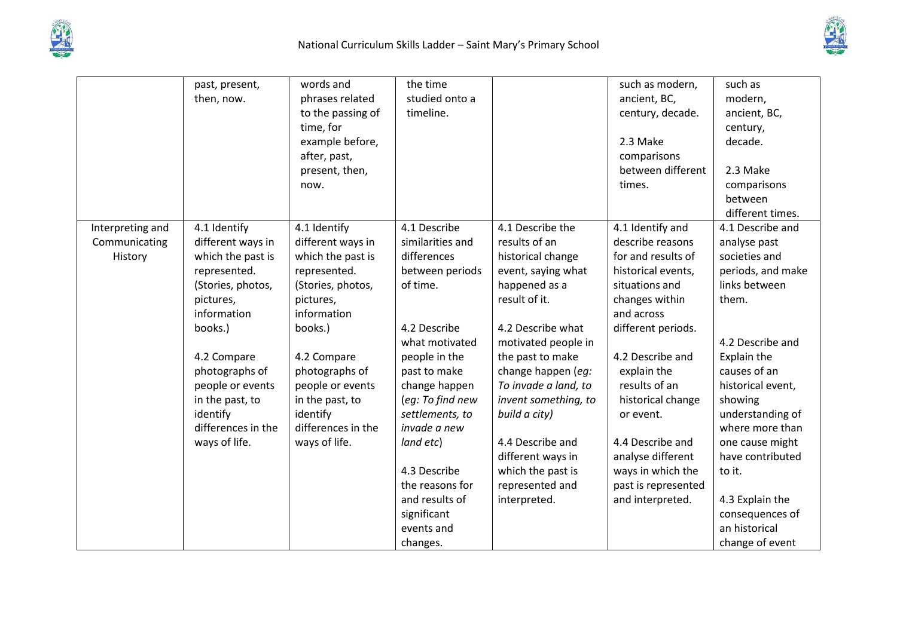



|                  | past, present,     | words and          | the time         |                      | such as modern,     | such as           |
|------------------|--------------------|--------------------|------------------|----------------------|---------------------|-------------------|
|                  | then, now.         | phrases related    | studied onto a   |                      | ancient, BC,        | modern,           |
|                  |                    | to the passing of  | timeline.        |                      | century, decade.    | ancient, BC,      |
|                  |                    | time, for          |                  |                      |                     | century,          |
|                  |                    | example before,    |                  |                      | 2.3 Make            | decade.           |
|                  |                    | after, past,       |                  |                      | comparisons         |                   |
|                  |                    | present, then,     |                  |                      | between different   | 2.3 Make          |
|                  |                    | now.               |                  |                      | times.              | comparisons       |
|                  |                    |                    |                  |                      |                     | between           |
|                  |                    |                    |                  |                      |                     | different times.  |
| Interpreting and | 4.1 Identify       | 4.1 Identify       | 4.1 Describe     | 4.1 Describe the     | 4.1 Identify and    | 4.1 Describe and  |
| Communicating    | different ways in  | different ways in  | similarities and | results of an        | describe reasons    | analyse past      |
| History          | which the past is  | which the past is  | differences      | historical change    | for and results of  | societies and     |
|                  | represented.       | represented.       | between periods  | event, saying what   | historical events,  | periods, and make |
|                  | (Stories, photos,  | (Stories, photos,  | of time.         | happened as a        | situations and      | links between     |
|                  | pictures,          | pictures,          |                  | result of it.        | changes within      | them.             |
|                  | information        | information        |                  |                      | and across          |                   |
|                  | books.)            | books.)            | 4.2 Describe     | 4.2 Describe what    | different periods.  |                   |
|                  |                    |                    | what motivated   | motivated people in  |                     | 4.2 Describe and  |
|                  | 4.2 Compare        | 4.2 Compare        | people in the    | the past to make     | 4.2 Describe and    | Explain the       |
|                  | photographs of     | photographs of     | past to make     | change happen (eg:   | explain the         | causes of an      |
|                  | people or events   | people or events   | change happen    | To invade a land, to | results of an       | historical event, |
|                  | in the past, to    | in the past, to    | (eg: To find new | invent something, to | historical change   | showing           |
|                  | identify           | identify           | settlements, to  | build a city)        | or event.           | understanding of  |
|                  | differences in the | differences in the | invade a new     |                      |                     | where more than   |
|                  | ways of life.      | ways of life.      | land etc)        | 4.4 Describe and     | 4.4 Describe and    | one cause might   |
|                  |                    |                    |                  | different ways in    | analyse different   | have contributed  |
|                  |                    |                    | 4.3 Describe     | which the past is    | ways in which the   | to it.            |
|                  |                    |                    | the reasons for  | represented and      | past is represented |                   |
|                  |                    |                    | and results of   | interpreted.         | and interpreted.    | 4.3 Explain the   |
|                  |                    |                    | significant      |                      |                     | consequences of   |
|                  |                    |                    | events and       |                      |                     | an historical     |
|                  |                    |                    | changes.         |                      |                     | change of event   |